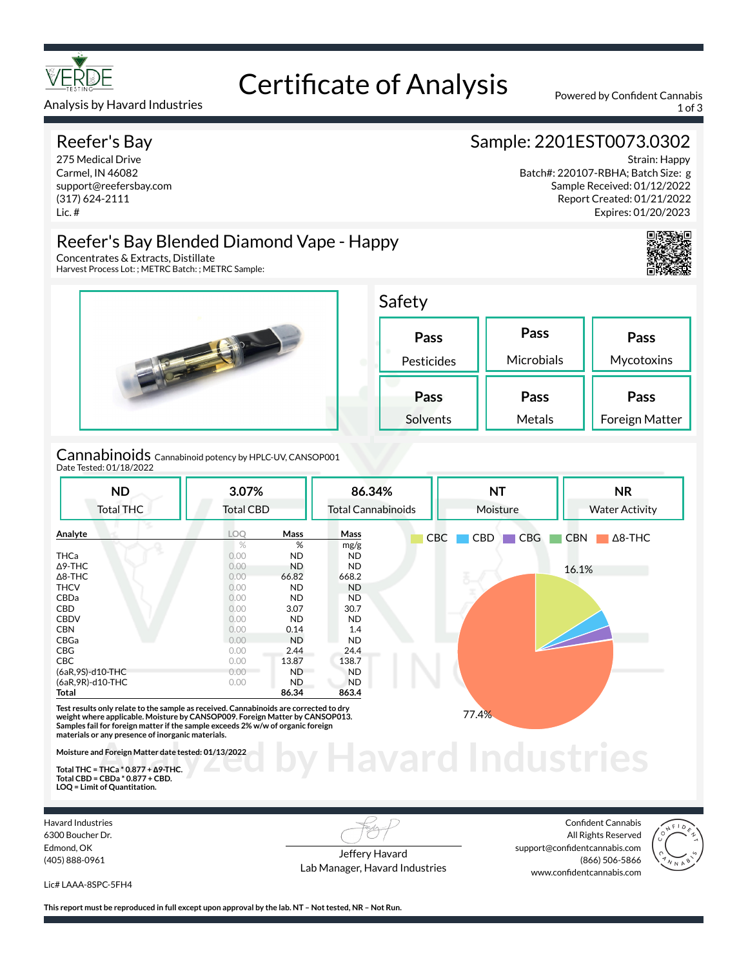

## Certificate of Analysis Powered by Confident Cannabis

Analysis by Havard Industries 1 of 3 and 2008 and 2009 and 2009 and 2009 and 2009 and 2009 and 2009 and 2009 and 2009 and 2009 and 2009 and 2009 and 2009 and 2009 and 2009 and 2009 and 2009 and 2009 and 2009 and 2009 and 2

#### Reefer's Bay

275 Medical Drive Carmel, IN 46082 support@reefersbay.com (317) 624-2111 Lic. #

### Sample: 2201EST0073.0302

Strain: Happy Batch#: 220107-RBHA; Batch Size: g Sample Received: 01/12/2022 Report Created: 01/21/2022 Expires: 01/20/2023



#### Reefer's Bay Blended Diamond Vape - Happy

Concentrates & Extracts, Distillate Harvest Process Lot: ; METRC Batch: ; METRC Sample:



Cannabinoids Cannabinoid potency by HPLC-UV, CANSOP001 Date Tested: 01/18/2022

| <b>ND</b>         | 3.07%            |           | 86.34%                    | <b>NT</b>                       | <b>NR</b>                    |
|-------------------|------------------|-----------|---------------------------|---------------------------------|------------------------------|
| <b>Total THC</b>  | <b>Total CBD</b> |           | <b>Total Cannabinoids</b> | Moisture                        | <b>Water Activity</b>        |
| Analyte           | LOQ              | Mass      | Mass                      | CBG<br><b>CBC</b><br><b>CBD</b> | <b>CBN</b><br>$\Delta$ 8-THC |
|                   | $\%$             | %         | mg/g                      |                                 |                              |
| <b>THCa</b>       | 0.00             | <b>ND</b> | ND.                       |                                 |                              |
| $\Delta$ 9-THC    | 0.00             | <b>ND</b> | <b>ND</b>                 |                                 | 16.1%                        |
| $\Delta$ 8-THC    | 0.00             | 66.82     | 668.2                     | ξ.                              |                              |
| <b>THCV</b>       | 0.00             | <b>ND</b> | <b>ND</b>                 |                                 |                              |
| <b>CBDa</b>       | 0.00             | <b>ND</b> | <b>ND</b>                 |                                 |                              |
| <b>CBD</b>        | 0.00             | 3.07      | 30.7                      |                                 |                              |
| <b>CBDV</b>       | 0.00             | <b>ND</b> | ND.                       |                                 |                              |
| <b>CBN</b>        | 0.00             | 0.14      | 1.4                       |                                 |                              |
| CBGa              | 0.00             | <b>ND</b> | ND.                       |                                 |                              |
| CBG               | 0.00             | 2.44      | 24.4                      |                                 |                              |
| <b>CBC</b>        | 0.00             | 13.87     | 138.7                     |                                 |                              |
| (6aR, 9S)-d10-THC | 0.00             | <b>ND</b> | ND.                       |                                 |                              |
| (6aR, 9R)-d10-THC | 0.00             | <b>ND</b> | <b>ND</b>                 |                                 |                              |
| Total             |                  | 86.34     | 863.4                     |                                 |                              |

**Havard Industries Test results only relate to the sample as received. Cannabinoids are corrected to dry weight where applicable. Moisture by CANSOP009. Foreign Matter by CANSOP013. Samples fail for foreign matter if the sample exceeds 2% w/w of organic foreign materials or any presence of inorganic materials.** 

**Moisture and Foreign Matter date tested: 01/13/2022** 

**Total THC = THCa \* 0.877 + ∆9-THC. Total CBD = CBDa \* 0.877 + CBD. LOQ = Limit of Quantitation.**

Havard Industries 6300 Boucher Dr. Edmond, OK (405) 888-0961

Jeffery Havard Lab Manager, Havard Industries

Confident Cannabis All Rights Reserved support@confidentcannabis.com (866) 506-5866 www.confidentcannabis.com



Lic# LAAA-8SPC-5FH4

**This report must be reproduced in full except upon approval by the lab. NT – Not tested, NR – Not Run.**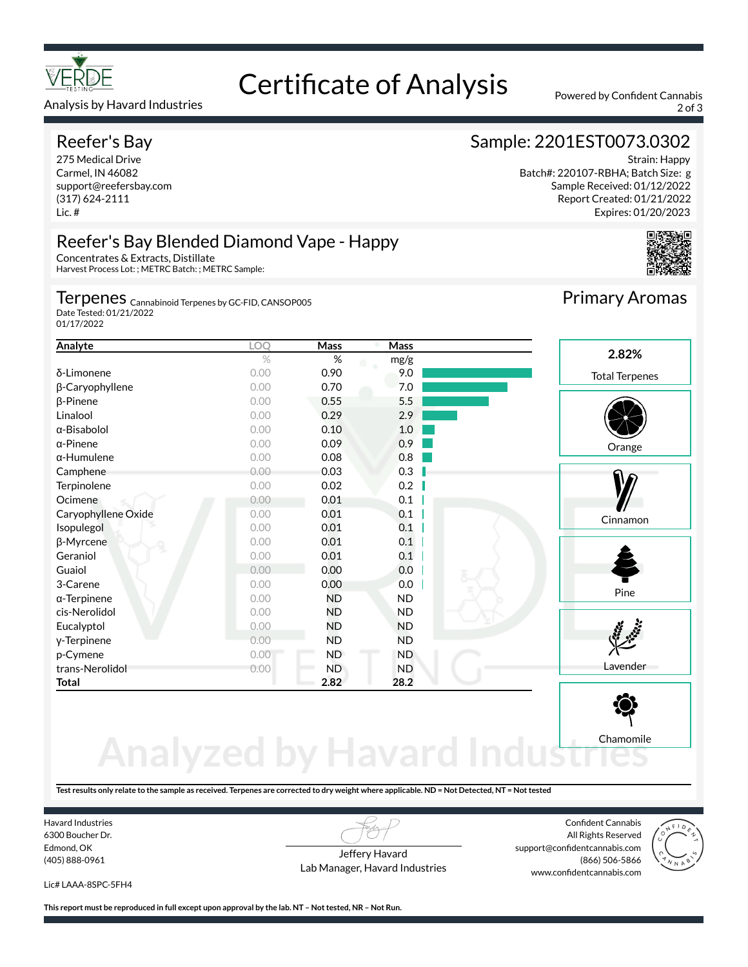

#### Analysis by Havard Industries 2 of 3

#### Reefer's Bay

275 Medical Drive Carmel, IN 46082 support@reefersbay.com (317) 624-2111 Lic. #

## Certificate of Analysis Powered by Confident Cannabis

#### Sample: 2201EST0073.0302

Strain: Happy Batch#: 220107-RBHA; Batch Size: g Sample Received: 01/12/2022 Report Created: 01/21/2022 Expires: 01/20/2023





#### Reefer's Bay Blended Diamond Vape - Happy Concentrates & Extracts, Distillate

Harvest Process Lot: ; METRC Batch: ; METRC Sample:

#### Terpenes <sub>Cannabinoid Terpenes by GC-FID, CANSOP005</sub>

Date Tested: 01/21/2022 01/17/2022

| Analyte             | LOQ  | Mass      | Mass      |                       |
|---------------------|------|-----------|-----------|-----------------------|
|                     | $\%$ | %         | mg/g      | 2.82%                 |
| δ-Limonene          | 0.00 | 0.90      | 9.0       | <b>Total Terpenes</b> |
| β-Caryophyllene     | 0.00 | 0.70      | 7.0       |                       |
| $\beta$ -Pinene     | 0.00 | 0.55      | 5.5       |                       |
| Linalool            | 0.00 | 0.29      | 2.9       |                       |
| α-Bisabolol         | 0.00 | 0.10      | 1.0       |                       |
| $\alpha$ -Pinene    | 0.00 | 0.09      | 0.9       | Orange                |
| $\alpha$ -Humulene  | 0.00 | 0.08      | 0.8       |                       |
| Camphene            | 0.00 | 0.03      | 0.3       |                       |
| Terpinolene         | 0.00 | 0.02      | 0.2       |                       |
| Ocimene             | 0.00 | 0.01      | 0.1       |                       |
| Caryophyllene Oxide | 0.00 | 0.01      | 0.1       | Cinnamon              |
| Isopulegol          | 0.00 | 0.01      | 0.1       |                       |
| β-Myrcene           | 0.00 | 0.01      | 0.1       |                       |
| Geraniol            | 0.00 | 0.01      | 0.1       |                       |
| Guaiol              | 0.00 | 0.00      | 0.0       |                       |
| 3-Carene            | 0.00 | 0.00      | 0.0       |                       |
| $\alpha$ -Terpinene | 0.00 | <b>ND</b> | <b>ND</b> | Pine                  |
| cis-Nerolidol       | 0.00 | ND        | ND.       |                       |
| Eucalyptol          | 0.00 | <b>ND</b> | <b>ND</b> |                       |
| y-Terpinene         | 0.00 | ND        | ND.       |                       |
| p-Cymene            | 0.00 | <b>ND</b> | ND.       |                       |
| trans-Nerolidol     | 0.00 | <b>ND</b> | <b>ND</b> | Lavender              |
| <b>Total</b>        |      | 2.82      | 28.2      |                       |



# **Analyzed by Havard Indust**

**Test results only relate to the sample as received. Terpenes are corrected to dry weight where applicable. ND = Not Detected, NT = Not tested**

Havard Industries 6300 Boucher Dr. Edmond, OK (405) 888-0961

Jeffery Havard Lab Manager, Havard Industries

Confident Cannabis All Rights Reserved support@confidentcannabis.com (866) 506-5866 www.confidentcannabis.com



Lic# LAAA-8SPC-5FH4

**This report must be reproduced in full except upon approval by the lab. NT – Not tested, NR – Not Run.**

Primary Aromas